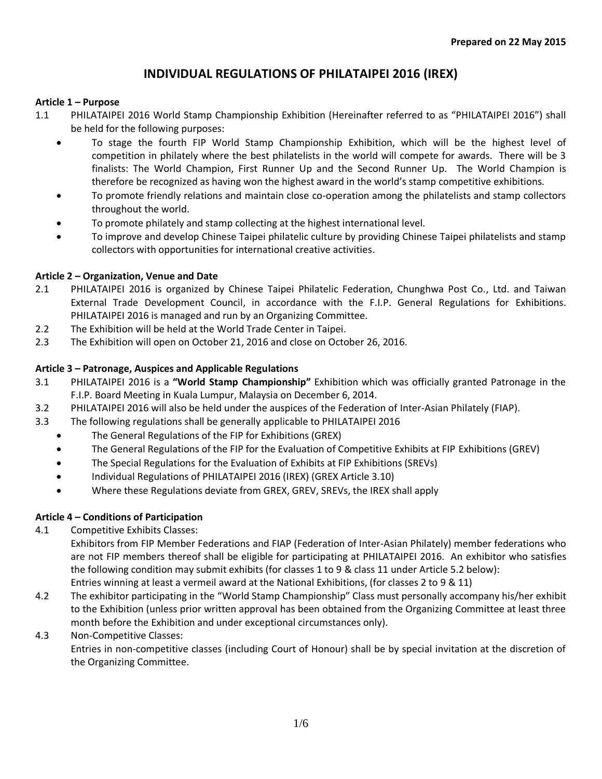### **Article 1 – Purpose**

- 1.1 PHILATAIPEI 2016 World Stamp Championship Exhibition (Hereinafter referred to as "PHILATAIPEI 2016") shall be held for the following purposes:
	- To stage the fourth FIP World Stamp Championship Exhibition, which will be the highest level of competition in philately where the best philatelists in the world will compete for awards. There will be 3 finalists: The World Champion, First Runner Up and the Second Runner Up. The World Champion is therefore be recognized as having won the highest award in the world's stamp competitive exhibitions.
	- To promote friendly relations and maintain close co-operation among the philatelists and stamp collectors throughout the world.
	- To promote philately and stamp collecting at the highest international level.
	- To improve and develop Chinese Taipei philatelic culture by providing Chinese Taipei philatelists and stamp collectors with opportunities for international creative activities.

#### **Article 2 – Organization, Venue and Date**

- 2.1 PHILATAIPEI 2016 is organized by Chinese Taipei Philatelic Federation, Chunghwa Post Co., Ltd. and Taiwan External Trade Development Council, in accordance with the F.I.P. General Regulations for Exhibitions. PHILATAIPEI 2016 is managed and run by an Organizing Committee.
- 2.2 The Exhibition will be held at the World Trade Center in Taipei.
- 2.3 The Exhibition will open on October 21, 2016 and close on October 26, 2016.

#### **Article 3 – Patronage, Auspices and Applicable Regulations**

- 3.1 PHILATAIPEI 2016 is a **"World Stamp Championship"** Exhibition which was officially granted Patronage in the F.I.P. Board Meeting in Kuala Lumpur, Malaysia on December 6, 2014.
- 3.2 PHILATAIPEI 2016 will also be held under the auspices of the Federation of Inter-Asian Philately (FIAP).
- 3.3 The following regulations shall be generally applicable to PHILATAIPEI 2016
	- The General Regulations of the FIP for Exhibitions (GREX)
	- The General Regulations of the FIP for the Evaluation of Competitive Exhibits at FIP Exhibitions (GREV)
	- The Special Regulations for the Evaluation of Exhibits at FIP Exhibitions (SREVs)
	- Individual Regulations of PHILATAIPEI 2016 (IREX) (GREX Article 3.10)
	- Where these Regulations deviate from GREX, GREV, SREVs, the IREX shall apply

## **Article 4 – Conditions of Participation**

#### 4.1 Competitive Exhibits Classes:

Exhibitors from FIP Member Federations and FIAP (Federation of Inter-Asian Philately) member federations who are not FIP members thereof shall be eligible for participating at PHILATAIPEI 2016. An exhibitor who satisfies the following condition may submit exhibits (for classes 1 to 9 & class 11 under Article 5.2 below): Entries winning at least a vermeil award at the National Exhibitions, (for classes 2 to 9 & 11)

- 4.2 The exhibitor participating in the "World Stamp Championship" Class must personally accompany his/her exhibit to the Exhibition (unless prior written approval has been obtained from the Organizing Committee at least three month before the Exhibition and under exceptional circumstances only).
- 4.3 Non-Competitive Classes:

Entries in non-competitive classes (including Court of Honour) shall be by special invitation at the discretion of the Organizing Committee.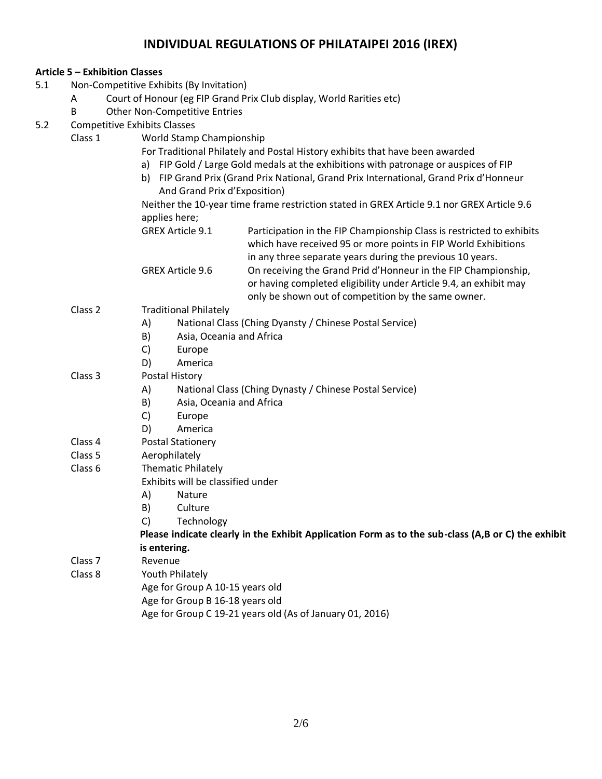|     |                                          | <b>Article 5 – Exhibition Classes</b>                                |                                                                                                                        |  |  |  |
|-----|------------------------------------------|----------------------------------------------------------------------|------------------------------------------------------------------------------------------------------------------------|--|--|--|
| 5.1 | Non-Competitive Exhibits (By Invitation) |                                                                      |                                                                                                                        |  |  |  |
|     | Α                                        | Court of Honour (eg FIP Grand Prix Club display, World Rarities etc) |                                                                                                                        |  |  |  |
|     | B                                        | <b>Other Non-Competitive Entries</b>                                 |                                                                                                                        |  |  |  |
| 5.2 | <b>Competitive Exhibits Classes</b>      |                                                                      |                                                                                                                        |  |  |  |
|     | Class 1                                  | World Stamp Championship                                             |                                                                                                                        |  |  |  |
|     |                                          |                                                                      | For Traditional Philately and Postal History exhibits that have been awarded                                           |  |  |  |
|     |                                          |                                                                      | a) FIP Gold / Large Gold medals at the exhibitions with patronage or auspices of FIP                                   |  |  |  |
|     |                                          |                                                                      | b) FIP Grand Prix (Grand Prix National, Grand Prix International, Grand Prix d'Honneur<br>And Grand Prix d'Exposition) |  |  |  |
|     |                                          |                                                                      | Neither the 10-year time frame restriction stated in GREX Article 9.1 nor GREX Article 9.6                             |  |  |  |
|     |                                          | applies here;                                                        |                                                                                                                        |  |  |  |
|     |                                          | <b>GREX Article 9.1</b>                                              | Participation in the FIP Championship Class is restricted to exhibits                                                  |  |  |  |
|     |                                          |                                                                      | which have received 95 or more points in FIP World Exhibitions                                                         |  |  |  |
|     |                                          |                                                                      | in any three separate years during the previous 10 years.                                                              |  |  |  |
|     |                                          | <b>GREX Article 9.6</b>                                              | On receiving the Grand Prid d'Honneur in the FIP Championship,                                                         |  |  |  |
|     |                                          |                                                                      | or having completed eligibility under Article 9.4, an exhibit may                                                      |  |  |  |
|     |                                          |                                                                      | only be shown out of competition by the same owner.                                                                    |  |  |  |
|     | Class 2                                  | <b>Traditional Philately</b>                                         |                                                                                                                        |  |  |  |
|     |                                          | A)                                                                   | National Class (Ching Dyansty / Chinese Postal Service)                                                                |  |  |  |
|     |                                          | B)<br>Asia, Oceania and Africa                                       |                                                                                                                        |  |  |  |
|     |                                          | C)<br>Europe                                                         |                                                                                                                        |  |  |  |
|     |                                          | D)<br>America                                                        |                                                                                                                        |  |  |  |
|     | Class 3                                  | <b>Postal History</b>                                                |                                                                                                                        |  |  |  |
|     |                                          | A)                                                                   | National Class (Ching Dynasty / Chinese Postal Service)                                                                |  |  |  |
|     |                                          | Asia, Oceania and Africa<br>B)                                       |                                                                                                                        |  |  |  |
|     |                                          | C)<br>Europe                                                         |                                                                                                                        |  |  |  |
|     |                                          | D)<br>America                                                        |                                                                                                                        |  |  |  |
|     | Class 4                                  | <b>Postal Stationery</b>                                             |                                                                                                                        |  |  |  |
|     | Class 5                                  | Aerophilately                                                        |                                                                                                                        |  |  |  |
|     | Class 6                                  | <b>Thematic Philately</b>                                            |                                                                                                                        |  |  |  |
|     |                                          | Exhibits will be classified under                                    |                                                                                                                        |  |  |  |
|     |                                          | A)<br>Nature                                                         |                                                                                                                        |  |  |  |
|     |                                          | B)<br>Culture                                                        |                                                                                                                        |  |  |  |
|     |                                          | C)<br>Technology                                                     |                                                                                                                        |  |  |  |
|     |                                          |                                                                      | Please indicate clearly in the Exhibit Application Form as to the sub-class (A,B or C) the exhibit                     |  |  |  |
|     |                                          | is entering.                                                         |                                                                                                                        |  |  |  |
|     | Class <sub>7</sub>                       | Revenue                                                              |                                                                                                                        |  |  |  |
|     | Class 8                                  | Youth Philately                                                      |                                                                                                                        |  |  |  |
|     |                                          |                                                                      | Age for Group A 10-15 years old                                                                                        |  |  |  |
|     |                                          | Age for Group B 16-18 years old                                      |                                                                                                                        |  |  |  |
|     |                                          |                                                                      | Age for Group C 19-21 years old (As of January 01, 2016)                                                               |  |  |  |
|     |                                          |                                                                      |                                                                                                                        |  |  |  |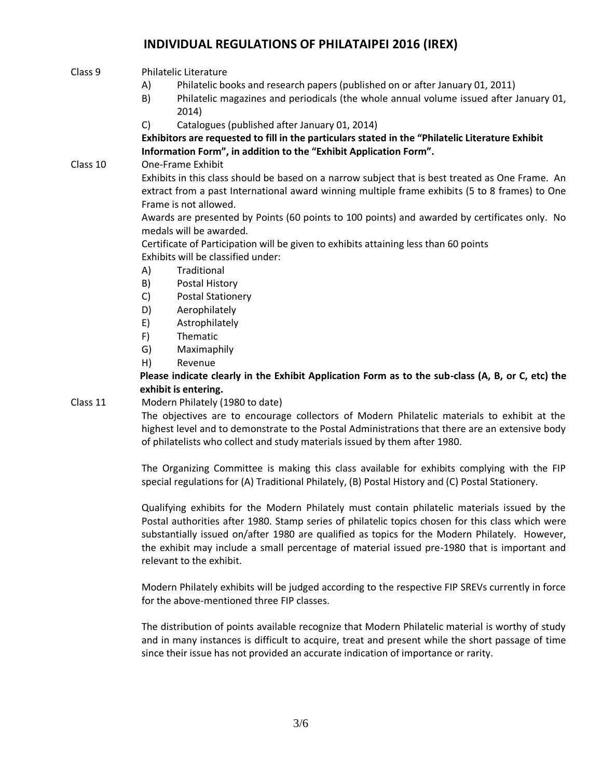## Class 9 Philatelic Literature

- A) Philatelic books and research papers (published on or after January 01, 2011)
- B) Philatelic magazines and periodicals (the whole annual volume issued after January 01, 2014)
- C) Catalogues (published after January 01, 2014)

**Exhibitors are requested to fill in the particulars stated in the "Philatelic Literature Exhibit Information Form", in addition to the "Exhibit Application Form".**

Class 10 One-Frame Exhibit

Exhibits in this class should be based on a narrow subject that is best treated as One Frame. An extract from a past International award winning multiple frame exhibits (5 to 8 frames) to One Frame is not allowed.

Awards are presented by Points (60 points to 100 points) and awarded by certificates only. No medals will be awarded.

Certificate of Participation will be given to exhibits attaining less than 60 points Exhibits will be classified under:

- A) Traditional
- B) Postal History
- C) Postal Stationery
- D) Aerophilately
- E) Astrophilately
- F) Thematic
- G) Maximaphily
- H) Revenue

**Please indicate clearly in the Exhibit Application Form as to the sub-class (A, B, or C, etc) the exhibit is entering.**

#### Class 11 Modern Philately (1980 to date)

The objectives are to encourage collectors of Modern Philatelic materials to exhibit at the highest level and to demonstrate to the Postal Administrations that there are an extensive body of philatelists who collect and study materials issued by them after 1980.

The Organizing Committee is making this class available for exhibits complying with the FIP special regulations for (A) Traditional Philately, (B) Postal History and (C) Postal Stationery.

Qualifying exhibits for the Modern Philately must contain philatelic materials issued by the Postal authorities after 1980. Stamp series of philatelic topics chosen for this class which were substantially issued on/after 1980 are qualified as topics for the Modern Philately. However, the exhibit may include a small percentage of material issued pre-1980 that is important and relevant to the exhibit.

Modern Philately exhibits will be judged according to the respective FIP SREVs currently in force for the above-mentioned three FIP classes.

The distribution of points available recognize that Modern Philatelic material is worthy of study and in many instances is difficult to acquire, treat and present while the short passage of time since their issue has not provided an accurate indication of importance or rarity.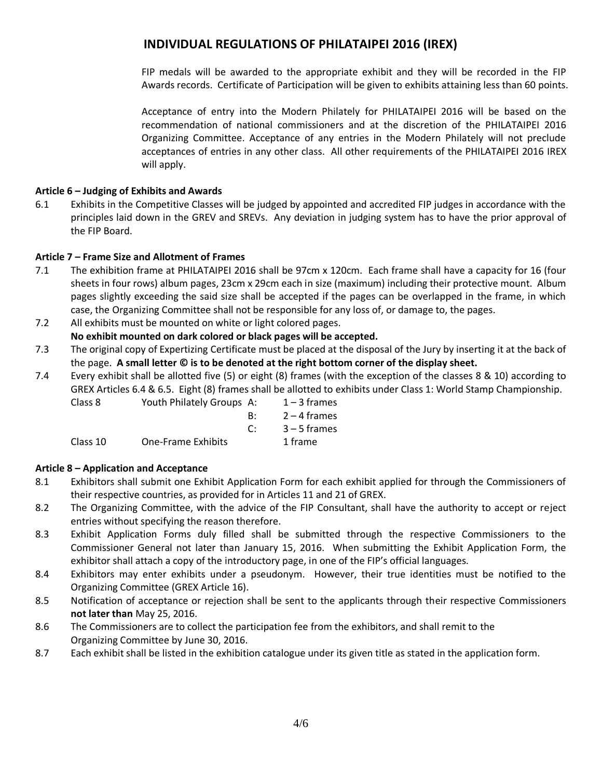FIP medals will be awarded to the appropriate exhibit and they will be recorded in the FIP Awards records. Certificate of Participation will be given to exhibits attaining less than 60 points.

Acceptance of entry into the Modern Philately for PHILATAIPEI 2016 will be based on the recommendation of national commissioners and at the discretion of the PHILATAIPEI 2016 Organizing Committee. Acceptance of any entries in the Modern Philately will not preclude acceptances of entries in any other class. All other requirements of the PHILATAIPEI 2016 IREX will apply.

## **Article 6 – Judging of Exhibits and Awards**

6.1 Exhibits in the Competitive Classes will be judged by appointed and accredited FIP judges in accordance with the principles laid down in the GREV and SREVs. Any deviation in judging system has to have the prior approval of the FIP Board.

# **Article 7 – Frame Size and Allotment of Frames**

7.1 The exhibition frame at PHILATAIPEI 2016 shall be 97cm x 120cm. Each frame shall have a capacity for 16 (four sheets in four rows) album pages, 23cm x 29cm each in size (maximum) including their protective mount. Album pages slightly exceeding the said size shall be accepted if the pages can be overlapped in the frame, in which case, the Organizing Committee shall not be responsible for any loss of, or damage to, the pages.

## 7.2 All exhibits must be mounted on white or light colored pages.

- **No exhibit mounted on dark colored or black pages will be accepted.**
- 7.3 The original copy of Expertizing Certificate must be placed at the disposal of the Jury by inserting it at the back of the page. **A small letter © is to be denoted at the right bottom corner of the display sheet.**
- 7.4 Every exhibit shall be allotted five (5) or eight (8) frames (with the exception of the classes 8 & 10) according to GREX Articles 6.4 & 6.5. Eight (8) frames shall be allotted to exhibits under Class 1: World Stamp Championship.<br>Class 8

|                           |          | $1 - 3$ frames            |
|---------------------------|----------|---------------------------|
|                           | R۰       | 2 – 4 frames              |
|                           | $\Gamma$ | $3 - 5$ frames            |
| <b>One-Frame Exhibits</b> |          | 1 frame                   |
|                           |          | Youth Philately Groups A: |

## **Article 8 – Application and Acceptance**

- 8.1 Exhibitors shall submit one Exhibit Application Form for each exhibit applied for through the Commissioners of their respective countries, as provided for in Articles 11 and 21 of GREX.
- 8.2 The Organizing Committee, with the advice of the FIP Consultant, shall have the authority to accept or reject entries without specifying the reason therefore.
- 8.3 Exhibit Application Forms duly filled shall be submitted through the respective Commissioners to the Commissioner General not later than January 15, 2016. When submitting the Exhibit Application Form, the exhibitor shall attach a copy of the introductory page, in one of the FIP's official languages.
- 8.4 Exhibitors may enter exhibits under a pseudonym. However, their true identities must be notified to the Organizing Committee (GREX Article 16).
- 8.5 Notification of acceptance or rejection shall be sent to the applicants through their respective Commissioners **not later than** May 25, 2016.
- 8.6 The Commissioners are to collect the participation fee from the exhibitors, and shall remit to the Organizing Committee by June 30, 2016.
- 8.7 Each exhibit shall be listed in the exhibition catalogue under its given title as stated in the application form.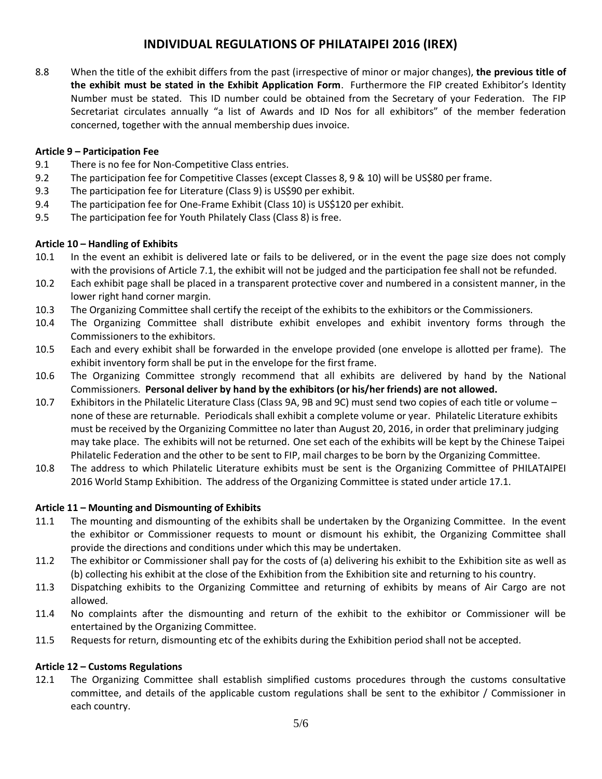8.8 When the title of the exhibit differs from the past (irrespective of minor or major changes), **the previous title of the exhibit must be stated in the Exhibit Application Form**. Furthermore the FIP created Exhibitor's Identity Number must be stated. This ID number could be obtained from the Secretary of your Federation. The FIP Secretariat circulates annually "a list of Awards and ID Nos for all exhibitors" of the member federation concerned, together with the annual membership dues invoice.

#### **Article 9 – Participation Fee**

- 9.1 There is no fee for Non-Competitive Class entries.
- 9.2 The participation fee for Competitive Classes (except Classes 8, 9 & 10) will be US\$80 per frame.
- 9.3 The participation fee for Literature (Class 9) is US\$90 per exhibit.
- 9.4 The participation fee for One-Frame Exhibit (Class 10) is US\$120 per exhibit.
- 9.5 The participation fee for Youth Philately Class (Class 8) is free.

#### **Article 10 – Handling of Exhibits**

- 10.1 In the event an exhibit is delivered late or fails to be delivered, or in the event the page size does not comply with the provisions of Article 7.1, the exhibit will not be judged and the participation fee shall not be refunded.
- 10.2 Each exhibit page shall be placed in a transparent protective cover and numbered in a consistent manner, in the lower right hand corner margin.
- 10.3 The Organizing Committee shall certify the receipt of the exhibits to the exhibitors or the Commissioners.
- 10.4 The Organizing Committee shall distribute exhibit envelopes and exhibit inventory forms through the Commissioners to the exhibitors.
- 10.5 Each and every exhibit shall be forwarded in the envelope provided (one envelope is allotted per frame). The exhibit inventory form shall be put in the envelope for the first frame.
- 10.6 The Organizing Committee strongly recommend that all exhibits are delivered by hand by the National Commissioners. **Personal deliver by hand by the exhibitors (or his/her friends) are not allowed.**
- 10.7 Exhibitors in the Philatelic Literature Class (Class 9A, 9B and 9C) must send two copies of each title or volume none of these are returnable. Periodicals shall exhibit a complete volume or year. Philatelic Literature exhibits must be received by the Organizing Committee no later than August 20, 2016, in order that preliminary judging may take place. The exhibits will not be returned. One set each of the exhibits will be kept by the Chinese Taipei Philatelic Federation and the other to be sent to FIP, mail charges to be born by the Organizing Committee.
- 10.8 The address to which Philatelic Literature exhibits must be sent is the Organizing Committee of PHILATAIPEI 2016 World Stamp Exhibition. The address of the Organizing Committee is stated under article 17.1.

#### **Article 11 – Mounting and Dismounting of Exhibits**

- 11.1 The mounting and dismounting of the exhibits shall be undertaken by the Organizing Committee. In the event the exhibitor or Commissioner requests to mount or dismount his exhibit, the Organizing Committee shall provide the directions and conditions under which this may be undertaken.
- 11.2 The exhibitor or Commissioner shall pay for the costs of (a) delivering his exhibit to the Exhibition site as well as (b) collecting his exhibit at the close of the Exhibition from the Exhibition site and returning to his country.
- 11.3 Dispatching exhibits to the Organizing Committee and returning of exhibits by means of Air Cargo are not allowed.
- 11.4 No complaints after the dismounting and return of the exhibit to the exhibitor or Commissioner will be entertained by the Organizing Committee.
- 11.5 Requests for return, dismounting etc of the exhibits during the Exhibition period shall not be accepted.

## **Article 12 – Customs Regulations**

12.1 The Organizing Committee shall establish simplified customs procedures through the customs consultative committee, and details of the applicable custom regulations shall be sent to the exhibitor / Commissioner in each country.